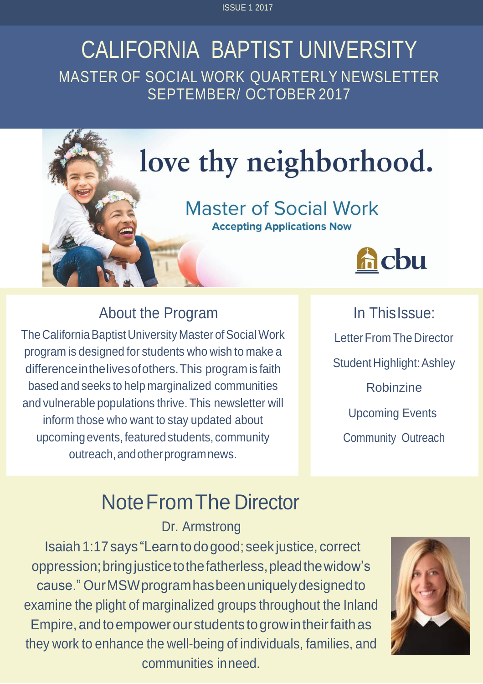ISSUE 1 2017

### CALIFORNIA BAPTIST UNIVERSITY MASTER OF SOCIAL WORK QUARTERLY NEWSLETTER SEPTEMBER/ OCTOBER 2017



### About the Program

The California Baptist University Master of Social Work program is designed for students who wish to make a differenceinthelivesofothers.This program is faith based and seeks to help marginalized communities and vulnerable populations thrive. This newsletter will inform those who want to stay updated about upcomingevents, featured students, community outreach,andotherprogramnews.

In ThisIssue: Letter From The Director Student Highlight: Ashley Robinzine Upcoming Events Community Outreach

# NoteFromThe Director

Dr. Armstrong

Isaiah 1:17 says "Learntodogood; seek justice, correct oppression;bringjusticetothefatherless,pleadthewidow's cause." OurMSWprogramhasbeenuniquelydesignedto examine the plight of marginalized groups throughout the Inland Empire, and to empower our students to grow in their faith as they work to enhance the well-being of individuals, families, and communities inneed.

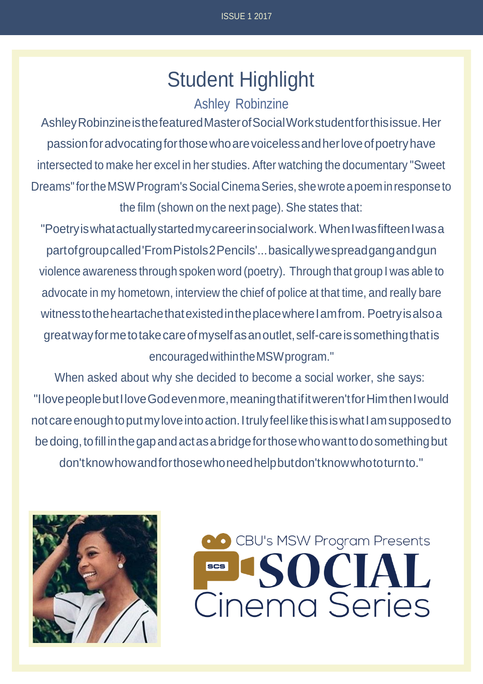## Student Highlight

#### Ashley Robinzine

AshleyRobinzineisthefeaturedMasterofSocialWorkstudentforthisissue.Her passionforadvocatingforthosewhoarevoicelessandherloveofpoetryhave intersected to make her excel in her studies. After watching the documentary "Sweet Dreams"fortheMSWProgram'sSocialCinemaSeries,shewroteapoeminresponseto the film (shown on the next page). She states that:

"Poetryiswhatactuallystartedmycareerinsocialwork. WhenIwasfifteenIwasa partofgroupcalled'FromPistols2Pencils'...basicallywespreadgangandgun violence awareness through spoken word (poetry). Through that group I was able to advocate in my hometown, interview the chief of police at that time, and really bare witness to the heartache that existed in the place where I am from. Poetry is also a greatwayformetotakecareofmyselfasanoutlet,self-careissomethingthatis encouragedwithintheMSWprogram."

When asked about why she decided to become a social worker, she says: "IlovepeoplebutIloveGodevenmore,meaningthatifitweren'tforHimthenIwould not care enough to put my love into action. I truly feel like this is what I am supposed to be doing, to fill in the gap and act as a bridge for those who want to do something but don'tknowhowandforthosewhoneedhelpbutdon'tknowwhototurnto."



CBU's MSW Program Presents SOCIAL<br>Cinema Series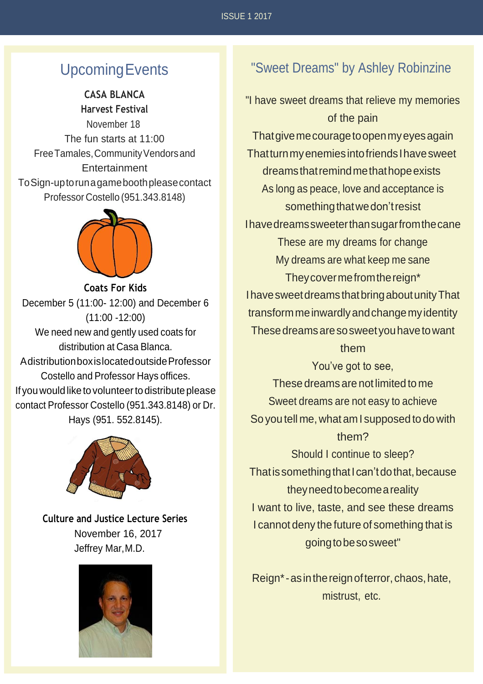### UpcomingEvents

#### **CASA BLANCA Harvest Festival**

November 18 The fun starts at 11:00 Free Tamales, Community Vendors and **Entertainment** ToSign-uptorunagameboothpleasecontact Professor Costello (951.343.8148)



**Coats For Kids** December 5 (11:00- 12:00) and December 6 (11:00 -12:00) We need new and gently used coats for distribution at Casa Blanca. AdistributionboxislocatedoutsideProfessor Costello and Professor Hays offices. If you would like to volunteer to distribute please contact Professor Costello (951.343.8148) or Dr. Hays (951. 552.8145).



**Culture and Justice Lecture Series**  November 16, 2017 Jeffrey Mar,M.D.



#### "Sweet Dreams" by Ashley Robinzine

"I have sweet dreams that relieve my memories of the pain Thatgivemecouragetoopenmyeyesagain ThatturnmyenemiesintofriendsIhavesweet dreamsthatremindmethathopeexists As long as peace, love and acceptance is something that we don't resist Ihavedreamssweeterthansugarfromthecane These are my dreams for change My dreams are what keep me sane Theycovermefromthereign\* IhavesweetdreamsthatbringaboutunityThat transformmeinwardlyandchangemyidentity Thesedreamsaresosweetyouhavetowant them You've got to see, These dreams are not limited to me Sweet dreams are not easy to achieve So you tell me,what am I supposed to dowith them? Should I continue to sleep? That is something that I can't do that, because

theyneedtobecomeareality I want to live, taste, and see these dreams I cannot deny the future of something that is goingtobesosweet"

Reign\*-asinthereignofterror,chaos,hate, mistrust, etc.